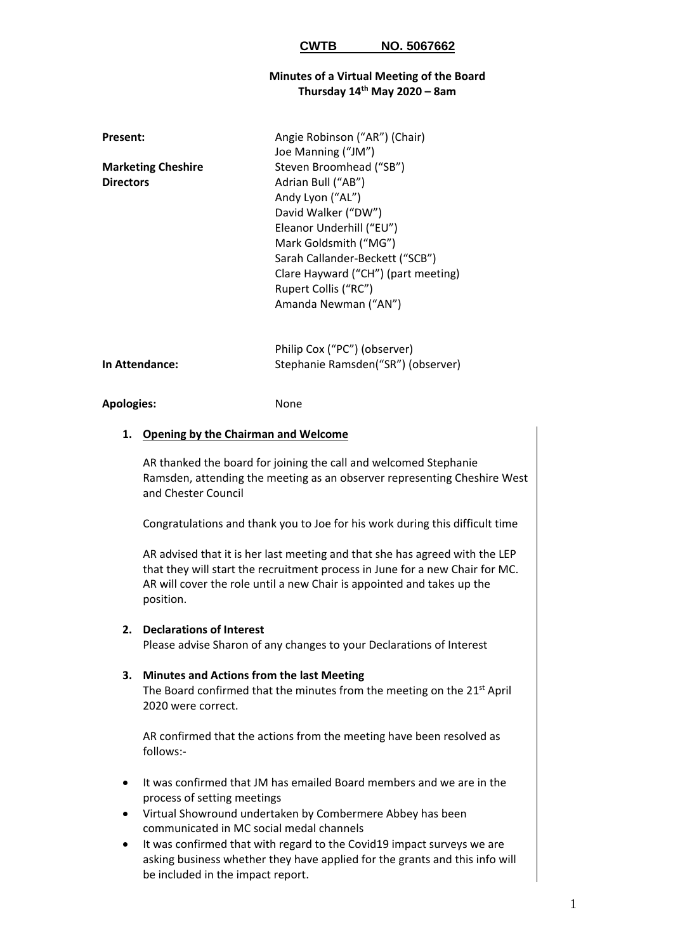### **Minutes of a Virtual Meeting of the Board Thursday 14th May 2020 – 8am**

| Present:                  | Angie Robinson ("AR") (Chair)       |
|---------------------------|-------------------------------------|
|                           | Joe Manning ("JM")                  |
| <b>Marketing Cheshire</b> | Steven Broomhead ("SB")             |
| <b>Directors</b>          | Adrian Bull ("AB")                  |
|                           | Andy Lyon ("AL")                    |
|                           | David Walker ("DW")                 |
|                           | Eleanor Underhill ("EU")            |
|                           | Mark Goldsmith ("MG")               |
|                           | Sarah Callander-Beckett ("SCB")     |
|                           | Clare Hayward ("CH") (part meeting) |
|                           | Rupert Collis ("RC")                |
|                           | Amanda Newman ("AN")                |
|                           |                                     |
|                           |                                     |
|                           |                                     |

|                       | Philip Cox ("PC") (observer)       |
|-----------------------|------------------------------------|
| <b>In Attendance:</b> | Stephanie Ramsden("SR") (observer) |

#### **Apologies:** None

## **1. Opening by the Chairman and Welcome**

AR thanked the board for joining the call and welcomed Stephanie Ramsden, attending the meeting as an observer representing Cheshire West and Chester Council

Congratulations and thank you to Joe for his work during this difficult time

AR advised that it is her last meeting and that she has agreed with the LEP that they will start the recruitment process in June for a new Chair for MC. AR will cover the role until a new Chair is appointed and takes up the position.

### **2. Declarations of Interest**

Please advise Sharon of any changes to your Declarations of Interest

### **3. Minutes and Actions from the last Meeting**

The Board confirmed that the minutes from the meeting on the 21<sup>st</sup> April 2020 were correct.

AR confirmed that the actions from the meeting have been resolved as follows:-

- It was confirmed that JM has emailed Board members and we are in the process of setting meetings
- Virtual Showround undertaken by Combermere Abbey has been communicated in MC social medal channels
- It was confirmed that with regard to the Covid19 impact surveys we are asking business whether they have applied for the grants and this info will be included in the impact report.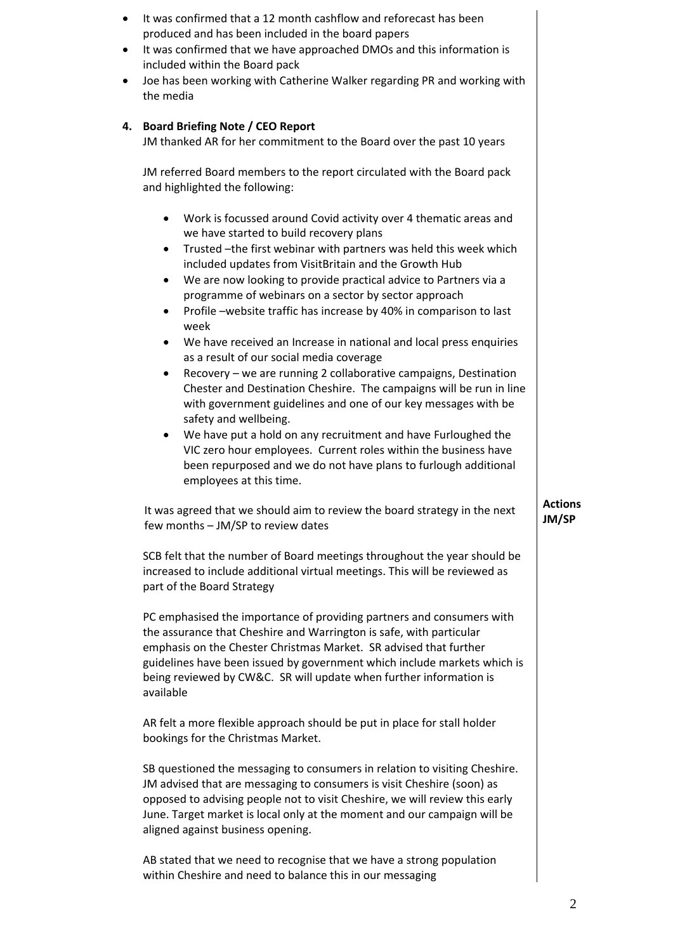| $\bullet$<br>$\bullet$<br>$\bullet$ | It was confirmed that a 12 month cashflow and reforecast has been<br>produced and has been included in the board papers<br>It was confirmed that we have approached DMOs and this information is<br>included within the Board pack<br>Joe has been working with Catherine Walker regarding PR and working with<br>the media                                                                                                                                                                                                                                                                                                                                                                                                                                                                                                                                                                                                                                                                                                                                               |                         |
|-------------------------------------|---------------------------------------------------------------------------------------------------------------------------------------------------------------------------------------------------------------------------------------------------------------------------------------------------------------------------------------------------------------------------------------------------------------------------------------------------------------------------------------------------------------------------------------------------------------------------------------------------------------------------------------------------------------------------------------------------------------------------------------------------------------------------------------------------------------------------------------------------------------------------------------------------------------------------------------------------------------------------------------------------------------------------------------------------------------------------|-------------------------|
| 4.                                  | <b>Board Briefing Note / CEO Report</b><br>JM thanked AR for her commitment to the Board over the past 10 years                                                                                                                                                                                                                                                                                                                                                                                                                                                                                                                                                                                                                                                                                                                                                                                                                                                                                                                                                           |                         |
|                                     | JM referred Board members to the report circulated with the Board pack<br>and highlighted the following:                                                                                                                                                                                                                                                                                                                                                                                                                                                                                                                                                                                                                                                                                                                                                                                                                                                                                                                                                                  |                         |
|                                     | Work is focussed around Covid activity over 4 thematic areas and<br>٠<br>we have started to build recovery plans<br>Trusted -the first webinar with partners was held this week which<br>٠<br>included updates from VisitBritain and the Growth Hub<br>We are now looking to provide practical advice to Partners via a<br>$\bullet$<br>programme of webinars on a sector by sector approach<br>Profile -website traffic has increase by 40% in comparison to last<br>week<br>We have received an Increase in national and local press enquiries<br>as a result of our social media coverage<br>Recovery - we are running 2 collaborative campaigns, Destination<br>٠<br>Chester and Destination Cheshire. The campaigns will be run in line<br>with government guidelines and one of our key messages with be<br>safety and wellbeing.<br>We have put a hold on any recruitment and have Furloughed the<br>VIC zero hour employees. Current roles within the business have<br>been repurposed and we do not have plans to furlough additional<br>employees at this time. |                         |
|                                     | It was agreed that we should aim to review the board strategy in the next<br>few months - JM/SP to review dates                                                                                                                                                                                                                                                                                                                                                                                                                                                                                                                                                                                                                                                                                                                                                                                                                                                                                                                                                           | <b>Actions</b><br>JM/SP |
|                                     | SCB felt that the number of Board meetings throughout the year should be<br>increased to include additional virtual meetings. This will be reviewed as<br>part of the Board Strategy                                                                                                                                                                                                                                                                                                                                                                                                                                                                                                                                                                                                                                                                                                                                                                                                                                                                                      |                         |
|                                     | PC emphasised the importance of providing partners and consumers with<br>the assurance that Cheshire and Warrington is safe, with particular<br>emphasis on the Chester Christmas Market. SR advised that further<br>guidelines have been issued by government which include markets which is<br>being reviewed by CW&C. SR will update when further information is<br>available                                                                                                                                                                                                                                                                                                                                                                                                                                                                                                                                                                                                                                                                                          |                         |
|                                     | AR felt a more flexible approach should be put in place for stall holder<br>bookings for the Christmas Market.                                                                                                                                                                                                                                                                                                                                                                                                                                                                                                                                                                                                                                                                                                                                                                                                                                                                                                                                                            |                         |
|                                     | SB questioned the messaging to consumers in relation to visiting Cheshire.<br>JM advised that are messaging to consumers is visit Cheshire (soon) as<br>opposed to advising people not to visit Cheshire, we will review this early<br>June. Target market is local only at the moment and our campaign will be<br>aligned against business opening.                                                                                                                                                                                                                                                                                                                                                                                                                                                                                                                                                                                                                                                                                                                      |                         |
|                                     | AB stated that we need to recognise that we have a strong population<br>within Cheshire and need to balance this in our messaging                                                                                                                                                                                                                                                                                                                                                                                                                                                                                                                                                                                                                                                                                                                                                                                                                                                                                                                                         |                         |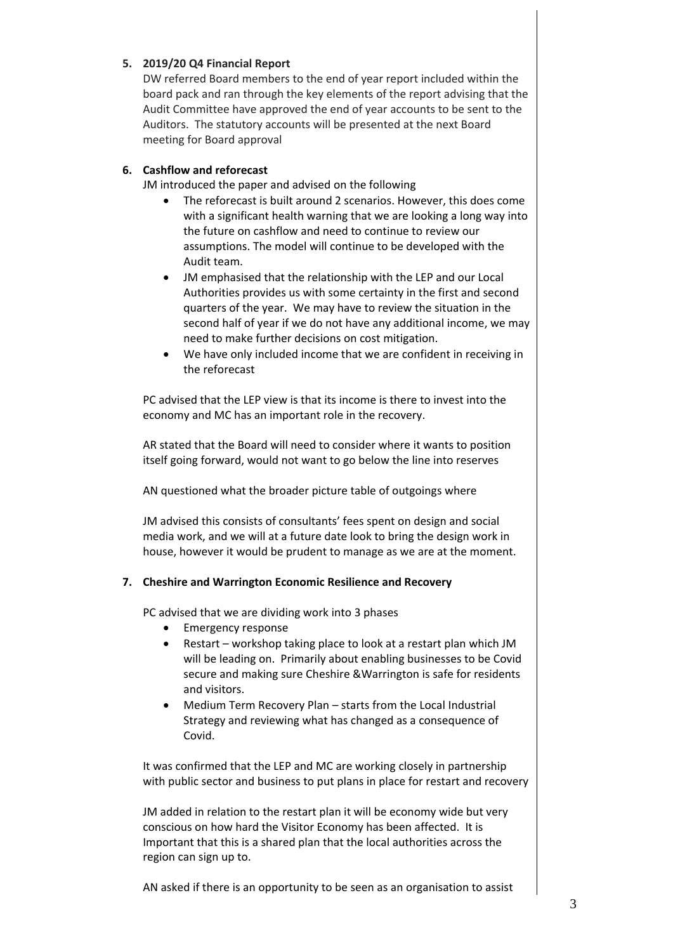## **5. 2019/20 Q4 Financial Report**

DW referred Board members to the end of year report included within the board pack and ran through the key elements of the report advising that the Audit Committee have approved the end of year accounts to be sent to the Auditors. The statutory accounts will be presented at the next Board meeting for Board approval

# **6. Cashflow and reforecast**

JM introduced the paper and advised on the following

- The reforecast is built around 2 scenarios. However, this does come with a significant health warning that we are looking a long way into the future on cashflow and need to continue to review our assumptions. The model will continue to be developed with the Audit team.
- JM emphasised that the relationship with the LEP and our Local Authorities provides us with some certainty in the first and second quarters of the year. We may have to review the situation in the second half of year if we do not have any additional income, we may need to make further decisions on cost mitigation.
- We have only included income that we are confident in receiving in the reforecast

PC advised that the LEP view is that its income is there to invest into the economy and MC has an important role in the recovery.

AR stated that the Board will need to consider where it wants to position itself going forward, would not want to go below the line into reserves

AN questioned what the broader picture table of outgoings where

JM advised this consists of consultants' fees spent on design and social media work, and we will at a future date look to bring the design work in house, however it would be prudent to manage as we are at the moment.

## **7. Cheshire and Warrington Economic Resilience and Recovery**

PC advised that we are dividing work into 3 phases

- Emergency response
- Restart workshop taking place to look at a restart plan which JM will be leading on. Primarily about enabling businesses to be Covid secure and making sure Cheshire &Warrington is safe for residents and visitors.
- Medium Term Recovery Plan starts from the Local Industrial Strategy and reviewing what has changed as a consequence of Covid.

It was confirmed that the LEP and MC are working closely in partnership with public sector and business to put plans in place for restart and recovery

JM added in relation to the restart plan it will be economy wide but very conscious on how hard the Visitor Economy has been affected. It is Important that this is a shared plan that the local authorities across the region can sign up to.

AN asked if there is an opportunity to be seen as an organisation to assist